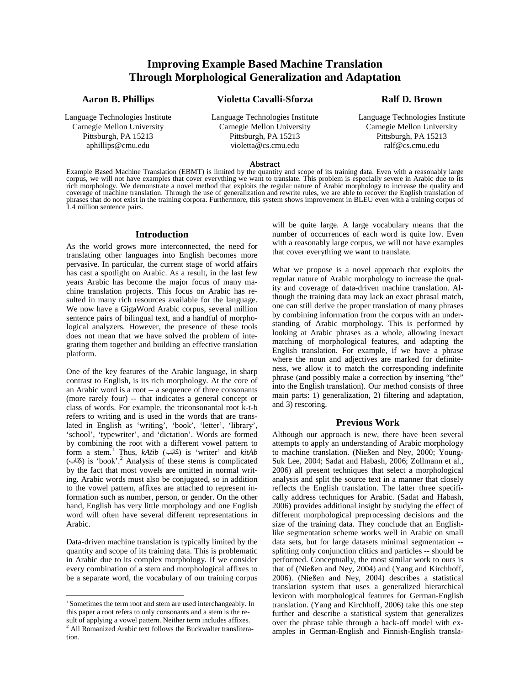# **Improving Example Based Machine Translation Through Morphological Generalization and Adaptation**

### **Aaron B. Phillips**

Language Technologies Institute Carnegie Mellon University Pittsburgh, PA 15213 aphillips@cmu.edu

# **Violetta Cavalli-Sforza**

Language Technologies Institute Carnegie Mellon University Pittsburgh, PA 15213 violetta@cs.cmu.edu

## **Ralf D. Brown**

Language Technologies Institute Carnegie Mellon University Pittsburgh, PA 15213 ralf@cs.cmu.edu

#### **Abstract**

Example Based Machine Translation (EBMT) is limited by the quantity and scope of its training data. Even with a reasonably large corpus, we will not have examples that cover everything we want to translate. This problem is especially severe in Arabic due to its rich morphology. We demonstrate a novel method that exploits the regular nature of Arabic morphology to increase the quality and coverage of machine translation. Through the use of generalization and rewrite rules, we are able to recover the English translation of phrases that do not exist in the training corpora. Furthermore, this system shows improvement in BLEU even with a training corpus of 1.4 million sentence pairs.

#### **Introduction**

As the world grows more interconnected, the need for translating other languages into English becomes more pervasive. In particular, the current stage of world affairs has cast a spotlight on Arabic. As a result, in the last few years Arabic has become the major focus of many machine translation projects. This focus on Arabic has resulted in many rich resources available for the language. We now have a GigaWord Arabic corpus, several million sentence pairs of bilingual text, and a handful of morphological analyzers. However, the presence of these tools does not mean that we have solved the problem of integrating them together and building an effective translation platform.

One of the key features of the Arabic language, in sharp contrast to English, is its rich morphology. At the core of an Arabic word is a root -- a sequence of three consonants (more rarely four) -- that indicates a general concept or class of words. For example, the triconsonantal root k-t-b refers to writing and is used in the words that are translated in English as 'writing', 'book', 'letter', 'library', 'school', 'typewriter', and 'dictation'. Words are formed by combining the root with a different vowel pattern to form a stem.<sup>1</sup> Thus, *kAtib* (كاتِب) is 'writer' and *kitAb* (كِتَاب) is 'book'.<sup>2</sup> Analysis of these stems is complicated by the fact that most vowels are omitted in normal writing. Arabic words must also be conjugated, so in addition to the vowel pattern, affixes are attached to represent information such as number, person, or gender. On the other hand, English has very little morphology and one English word will often have several different representations in Arabic.

Data-driven machine translation is typically limited by the quantity and scope of its training data. This is problematic in Arabic due to its complex morphology. If we consider every combination of a stem and morphological affixes to be a separate word, the vocabulary of our training corpus

 $\overline{a}$ 

will be quite large. A large vocabulary means that the number of occurrences of each word is quite low. Even with a reasonably large corpus, we will not have examples that cover everything we want to translate.

What we propose is a novel approach that exploits the regular nature of Arabic morphology to increase the quality and coverage of data-driven machine translation. Although the training data may lack an exact phrasal match, one can still derive the proper translation of many phrases by combining information from the corpus with an understanding of Arabic morphology. This is performed by looking at Arabic phrases as a whole, allowing inexact matching of morphological features, and adapting the English translation. For example, if we have a phrase where the noun and adjectives are marked for definiteness, we allow it to match the corresponding indefinite phrase (and possibly make a correction by inserting "the" into the English translation). Our method consists of three main parts: 1) generalization, 2) filtering and adaptation, and 3) rescoring.

#### **Previous Work**

Although our approach is new, there have been several attempts to apply an understanding of Arabic morphology to machine translation. (Nießen and Ney, 2000; Young-Suk Lee, 2004; Sadat and Habash, 2006; Zollmann et al., 2006) all present techniques that select a morphological analysis and split the source text in a manner that closely reflects the English translation. The latter three specifically address techniques for Arabic. (Sadat and Habash, 2006) provides additional insight by studying the effect of different morphological preprocessing decisions and the size of the training data. They conclude that an Englishlike segmentation scheme works well in Arabic on small data sets, but for large datasets minimal segmentation - splitting only conjunction clitics and particles -- should be performed. Conceptually, the most similar work to ours is that of (Nießen and Ney, 2004) and (Yang and Kirchhoff, 2006). (Nießen and Ney, 2004) describes a statistical translation system that uses a generalized hierarchical lexicon with morphological features for German-English translation. (Yang and Kirchhoff, 2006) take this one step further and describe a statistical system that generalizes over the phrase table through a back-off model with examples in German-English and Finnish-English transla-

<sup>1</sup> Sometimes the term root and stem are used interchangeably. In this paper a root refers to only consonants and a stem is the result of applying a vowel pattern. Neither term includes affixes. 2 All Romanized Arabic text follows the Buckwalter transliteration.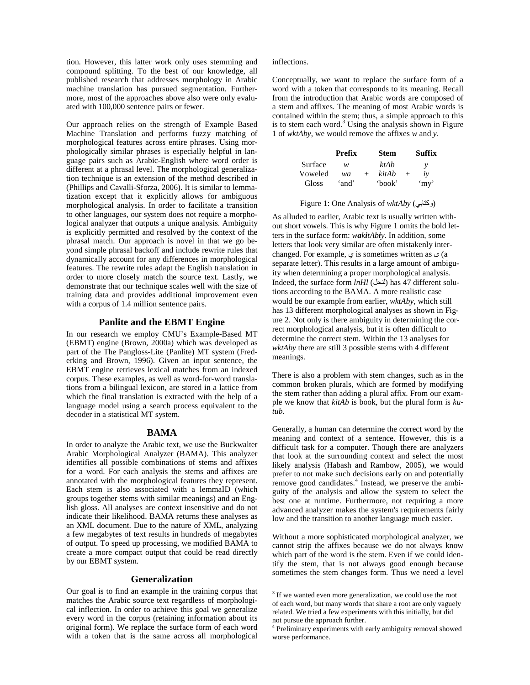tion. However, this latter work only uses stemming and compound splitting. To the best of our knowledge, all published research that addresses morphology in Arabic machine translation has pursued segmentation. Furthermore, most of the approaches above also were only evaluated with 100,000 sentence pairs or fewer.

Our approach relies on the strength of Example Based Machine Translation and performs fuzzy matching of morphological features across entire phrases. Using morphologically similar phrases is especially helpful in language pairs such as Arabic-English where word order is different at a phrasal level. The morphological generalization technique is an extension of the method described in (Phillips and Cavalli-Sforza, 2006). It is similar to lemmatization except that it explicitly allows for ambiguous morphological analysis. In order to facilitate a transition to other languages, our system does not require a morphological analyzer that outputs a unique analysis. Ambiguity is explicitly permitted and resolved by the context of the phrasal match. Our approach is novel in that we go beyond simple phrasal backoff and include rewrite rules that dynamically account for any differences in morphological features. The rewrite rules adapt the English translation in order to more closely match the source text. Lastly, we demonstrate that our technique scales well with the size of training data and provides additional improvement even with a corpus of 1.4 million sentence pairs.

#### **Panlite and the EBMT Engine**

In our research we employ CMU's Example-Based MT (EBMT) engine (Brown, 2000a) which was developed as part of the The Pangloss-Lite (Panlite) MT system (Frederking and Brown, 1996). Given an input sentence, the EBMT engine retrieves lexical matches from an indexed corpus. These examples, as well as word-for-word translations from a bilingual lexicon, are stored in a lattice from which the final translation is extracted with the help of a language model using a search process equivalent to the decoder in a statistical MT system.

#### **BAMA**

In order to analyze the Arabic text, we use the Buckwalter Arabic Morphological Analyzer (BAMA). This analyzer identifies all possible combinations of stems and affixes for a word. For each analysis the stems and affixes are annotated with the morphological features they represent. Each stem is also associated with a lemmaID (which groups together stems with similar meanings) and an English gloss. All analyses are context insensitive and do not indicate their likelihood. BAMA returns these analyses as an XML document. Due to the nature of XML, analyzing a few megabytes of text results in hundreds of megabytes of output. To speed up processing, we modified BAMA to create a more compact output that could be read directly by our EBMT system.

### **Generalization**

Our goal is to find an example in the training corpus that matches the Arabic source text regardless of morphological inflection. In order to achieve this goal we generalize every word in the corpus (retaining information about its original form). We replace the surface form of each word with a token that is the same across all morphological

#### inflections.

Conceptually, we want to replace the surface form of a word with a token that corresponds to its meaning. Recall from the introduction that Arabic words are composed of a stem and affixes. The meaning of most Arabic words is contained within the stem; thus, a simple approach to this is to stem each word.<sup>3</sup> Using the analysis shown in Figure 1 of *wktAby*, we would remove the affixes *w* and *y*.

|         | Prefix |     | <b>Stem</b> |        | Suffix |
|---------|--------|-----|-------------|--------|--------|
| Surface | w      |     | ktAb        |        | v      |
| Voweled | wa     | $+$ | kitAb       | $^{+}$ | iν     |
| Gloss   | 'and'  |     | 'book'      |        | 'my'   |

Figure 1: One Analysis of *wktAby* (وكتابى)

As alluded to earlier, Arabic text is usually written without short vowels. This is why Figure 1 omits the bold letters in the surface form: *wakitAbiy*. In addition, some letters that look very similar are often mistakenly interchanged. For example,  $\varphi$  is sometimes written as  $\varphi$  (a separate letter). This results in a large amount of ambiguity when determining a proper morphological analysis. Indeed, the surface form *lnHl* ( ) has 47 different solutions according to the BAMA. A more realistic case would be our example from earlier, *wktAby*, which still has 13 different morphological analyses as shown in Figure 2. Not only is there ambiguity in determining the correct morphological analysis, but it is often difficult to determine the correct stem. Within the 13 analyses for *wktAby* there are still 3 possible stems with 4 different meanings.

There is also a problem with stem changes, such as in the common broken plurals, which are formed by modifying the stem rather than adding a plural affix. From our example we know that *kitAb* is book, but the plural form is *kutub*.

Generally, a human can determine the correct word by the meaning and context of a sentence. However, this is a difficult task for a computer. Though there are analyzers that look at the surrounding context and select the most likely analysis (Habash and Rambow, 2005), we would prefer to not make such decisions early on and potentially remove good candidates.<sup>4</sup> Instead, we preserve the ambiguity of the analysis and allow the system to select the best one at runtime. Furthermore, not requiring a more advanced analyzer makes the system's requirements fairly low and the transition to another language much easier.

Without a more sophisticated morphological analyzer, we cannot strip the affixes because we do not always know which part of the word is the stem. Even if we could identify the stem, that is not always good enough because sometimes the stem changes form. Thus we need a level

<sup>&</sup>lt;sup>3</sup> If we wanted even more generalization, we could use the root of each word, but many words that share a root are only vaguely related. We tried a few experiments with this initially, but did not pursue the approach further.

<sup>4</sup> Preliminary experiments with early ambiguity removal showed worse performance.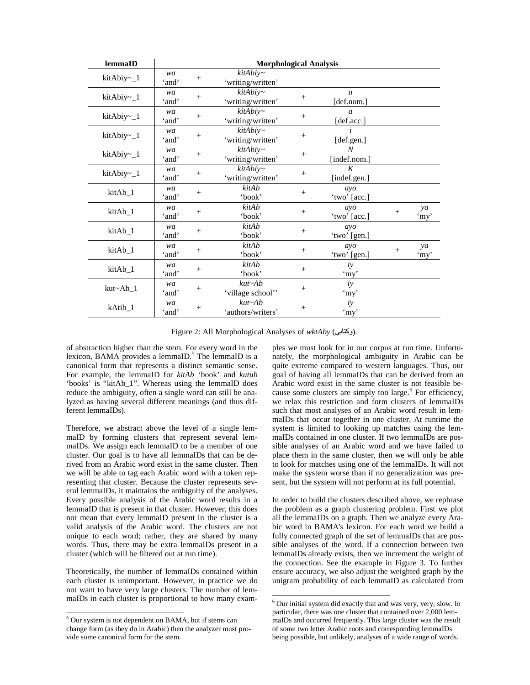| lemmaID          | <b>Morphological Analysis</b> |        |                                    |                                  |                                  |        |            |
|------------------|-------------------------------|--------|------------------------------------|----------------------------------|----------------------------------|--------|------------|
| kitAbiy~_1       | wa<br>'and'                   | $^{+}$ | $kitAbiy-$<br>'writing/written'    |                                  |                                  |        |            |
| kitAbiy $\sim$ 1 | wa<br>'and'                   | $^{+}$ | $kitAbiy-$<br>'writing/written'    | $+$                              | $\boldsymbol{u}$<br>[def.nom.]   |        |            |
| kitAbiy~_1       | wa<br>'and'                   | $^{+}$ | $kitAbiy-$<br>'writing/written'    | $^{+}$                           | $\boldsymbol{a}$<br>[def.acc.]   |        |            |
| kitAbiy~_1       | wa<br>'and'                   | $+$    | kitAbiy~<br>'writing/written'      | $+$                              | [def.gen.]                       |        |            |
| kitAbiy~_1       | wa<br>'and'                   | $^{+}$ | $kitAbiy-$<br>'writing/written'    | $\begin{array}{c} + \end{array}$ | $\boldsymbol{N}$<br>[indef.nom.] |        |            |
| kitAbiy~_1       | wa<br>'and'                   | $\! +$ | $kitAbiy-$<br>'writing/written'    | $^{+}$                           | K<br>[indef.gen.]                |        |            |
| kitAb_1          | wa<br>'and'                   | $+$    | kitAb<br>'book'                    | $+$                              | ayo<br>'two' [acc.]              |        |            |
| kitAb_1          | wa<br>'and'                   | $^{+}$ | kitAb<br>'book'                    | $+$                              | ayo<br>'two' [acc.]              | $+$    | ya<br>'my' |
| kitAb_1          | wa<br>'and'                   | $^{+}$ | kitAb<br>'book'                    | $^{+}$                           | ayo<br>'two' [gen.]              |        |            |
| kitAb_1          | wa<br>'and'                   | $^{+}$ | kitAb<br>'book'                    | $^{+}$                           | ayo<br>'two' [gen.]              | $^{+}$ | ya<br>'my' |
| kitAb_1          | wa<br>'and'                   | $^{+}$ | kitAb<br>'book'                    | $+$                              | iy<br>'my'                       |        |            |
| $kut \sim Ab_1$  | wa<br>'and'                   | $^{+}$ | $kut \sim Ab$<br>'village school'' | $^{+}$                           | iy<br>'my'                       |        |            |
| kAtib_1          | wa<br>'and'                   | $^{+}$ | $kut \sim Ab$<br>'authors/writers' | $+$                              | iy<br>'my'                       |        |            |

Figure 2: All Morphological Analyses of *wktAby* (وكتابى).

 $\overline{a}$ 

of abstraction higher than the stem. For every word in the lexicon, BAMA provides a lemmaID.<sup>5</sup> The lemmaID is a canonical form that represents a distinct semantic sense. For example, the lemmaID for *kitAb* 'book' and *kutub* 'books' is "kitAb\_1". Whereas using the lemmaID does reduce the ambiguity, often a single word can still be analyzed as having several different meanings (and thus different lemmaIDs).

Therefore, we abstract above the level of a single lemmaID by forming clusters that represent several lemmaIDs. We assign each lemmaID to be a member of one cluster. Our goal is to have all lemmaIDs that can be derived from an Arabic word exist in the same cluster. Then we will be able to tag each Arabic word with a token representing that cluster. Because the cluster represents several lemmaIDs, it maintains the ambiguity of the analyses. Every possible analysis of the Arabic word results in a lemmaID that is present in that cluster. However, this does not mean that every lemmaID present in the cluster is a valid analysis of the Arabic word. The clusters are not unique to each word; rather, they are shared by many words. Thus, there may be extra lemmaIDs present in a cluster (which will be filtered out at run time).

Theoretically, the number of lemmaIDs contained within each cluster is unimportant. However, in practice we do not want to have very large clusters. The number of lemmaIDs in each cluster is proportional to how many exam-

 $\overline{a}$ 

ples we must look for in our corpus at run time. Unfortunately, the morphological ambiguity in Arabic can be quite extreme compared to western languages. Thus, our goal of having all lemmaIDs that can be derived from an Arabic word exist in the same cluster is not feasible because some clusters are simply too large.<sup>6</sup> For efficiency, we relax this restriction and form clusters of lemmaIDs such that most analyses of an Arabic word result in lemmaIDs that occur together in one cluster. At runtime the system is limited to looking up matches using the lemmaIDs contained in one cluster. If two lemmaIDs are possible analyses of an Arabic word and we have failed to place them in the same cluster, then we will only be able to look for matches using one of the lemmaIDs. It will not make the system worse than if no generalization was present, but the system will not perform at its full potential.

In order to build the clusters described above, we rephrase the problem as a graph clustering problem. First we plot all the lemmaIDs on a graph. Then we analyze every Arabic word in BAMA's lexicon. For each word we build a fully connected graph of the set of lemmaIDs that are possible analyses of the word. If a connection between two lemmaIDs already exists, then we increment the weight of the connection. See the example in Figure 3. To further ensure accuracy, we also adjust the weighted graph by the unigram probability of each lemmaID as calculated from

<sup>&</sup>lt;sup>5</sup> Our system is not dependent on BAMA, but if stems can change form (as they do in Arabic) then the analyzer must provide some canonical form for the stem.

<sup>6</sup> Our initial system did exactly that and was very, very, slow. In particular, there was one cluster that contained over 2,000 lemmaIDs and occurred frequently. This large cluster was the result of some two letter Arabic roots and corresponding lemmaIDs being possible, but unlikely, analyses of a wide range of words.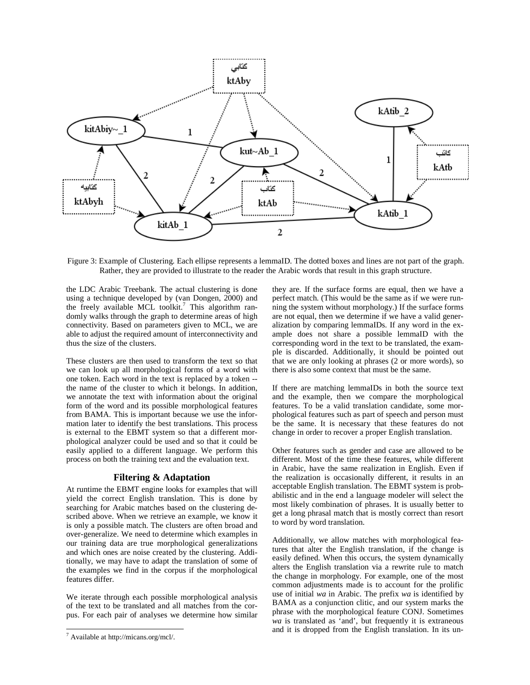

Figure 3: Example of Clustering. Each ellipse represents a lemmaID. The dotted boxes and lines are not part of the graph. Rather, they are provided to illustrate to the reader the Arabic words that result in this graph structure.

the LDC Arabic Treebank. The actual clustering is done using a technique developed by (van Dongen, 2000) and the freely available MCL toolkit.<sup>7</sup> This algorithm randomly walks through the graph to determine areas of high connectivity. Based on parameters given to MCL, we are able to adjust the required amount of interconnectivity and thus the size of the clusters.

These clusters are then used to transform the text so that we can look up all morphological forms of a word with one token. Each word in the text is replaced by a token - the name of the cluster to which it belongs. In addition, we annotate the text with information about the original form of the word and its possible morphological features from BAMA. This is important because we use the information later to identify the best translations. This process is external to the EBMT system so that a different morphological analyzer could be used and so that it could be easily applied to a different language. We perform this process on both the training text and the evaluation text.

#### **Filtering & Adaptation**

At runtime the EBMT engine looks for examples that will yield the correct English translation. This is done by searching for Arabic matches based on the clustering described above. When we retrieve an example, we know it is only a possible match. The clusters are often broad and over-generalize. We need to determine which examples in our training data are true morphological generalizations and which ones are noise created by the clustering. Additionally, we may have to adapt the translation of some of the examples we find in the corpus if the morphological features differ.

We iterate through each possible morphological analysis of the text to be translated and all matches from the corpus. For each pair of analyses we determine how similar

 $\overline{a}$ 

they are. If the surface forms are equal, then we have a perfect match. (This would be the same as if we were running the system without morphology.) If the surface forms are not equal, then we determine if we have a valid generalization by comparing lemmaIDs. If any word in the example does not share a possible lemmaID with the corresponding word in the text to be translated, the example is discarded. Additionally, it should be pointed out that we are only looking at phrases (2 or more words), so there is also some context that must be the same.

If there are matching lemmaIDs in both the source text and the example, then we compare the morphological features. To be a valid translation candidate, some morphological features such as part of speech and person must be the same. It is necessary that these features do not change in order to recover a proper English translation.

Other features such as gender and case are allowed to be different. Most of the time these features, while different in Arabic, have the same realization in English. Even if the realization is occasionally different, it results in an acceptable English translation. The EBMT system is probabilistic and in the end a language modeler will select the most likely combination of phrases. It is usually better to get a long phrasal match that is mostly correct than resort to word by word translation.

Additionally, we allow matches with morphological features that alter the English translation, if the change is easily defined. When this occurs, the system dynamically alters the English translation via a rewrite rule to match the change in morphology. For example, one of the most common adjustments made is to account for the prolific use of initial *wa* in Arabic. The prefix *wa* is identified by BAMA as a conjunction clitic, and our system marks the phrase with the morphological feature CONJ. Sometimes *wa* is translated as 'and', but frequently it is extraneous and it is dropped from the English translation. In its un-

<sup>7</sup> Available at http://micans.org/mcl/.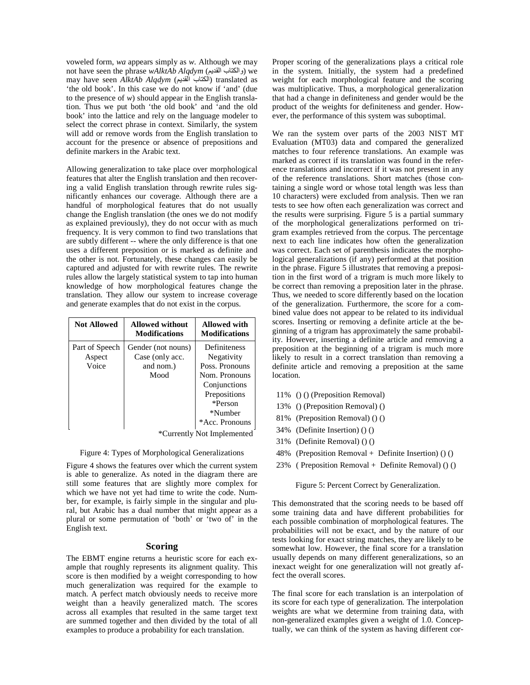voweled form, *wa* appears simply as *w*. Although we may not have seen the phrase *wAlktAb Alqdym* (والكتاب القديم) we may have seen AlktAb Alqdym (الكتاب القديم) translated as 'the old book'. In this case we do not know if 'and' (due to the presence of *w*) should appear in the English translation. Thus we put both 'the old book' and 'and the old book' into the lattice and rely on the language modeler to select the correct phrase in context. Similarly, the system will add or remove words from the English translation to account for the presence or absence of prepositions and definite markers in the Arabic text.

Allowing generalization to take place over morphological features that alter the English translation and then recovering a valid English translation through rewrite rules significantly enhances our coverage. Although there are a handful of morphological features that do not usually change the English translation (the ones we do not modify as explained previously), they do not occur with as much frequency. It is very common to find two translations that are subtly different -- where the only difference is that one uses a different preposition or is marked as definite and the other is not. Fortunately, these changes can easily be captured and adjusted for with rewrite rules. The rewrite rules allow the largely statistical system to tap into human knowledge of how morphological features change the translation. They allow our system to increase coverage and generate examples that do not exist in the corpus.

| <b>Not Allowed</b>                | <b>Allowed without</b><br><b>Modifications</b>             | <b>Allowed with</b><br><b>Modifications</b>                                                                                                  |
|-----------------------------------|------------------------------------------------------------|----------------------------------------------------------------------------------------------------------------------------------------------|
| Part of Speech<br>Aspect<br>Voice | Gender (not nouns)<br>Case (only acc.<br>and nom.)<br>Mood | <b>Definiteness</b><br>Negativity<br>Poss. Pronouns<br>Nom. Pronouns<br>Conjunctions<br>Prepositions<br>*Person<br>*Number<br>*Acc. Pronouns |

\*Currently Not Implemented

#### Figure 4: Types of Morphological Generalizations

Figure 4 shows the features over which the current system is able to generalize. As noted in the diagram there are still some features that are slightly more complex for which we have not yet had time to write the code. Number, for example, is fairly simple in the singular and plural, but Arabic has a dual number that might appear as a plural or some permutation of 'both' or 'two of' in the English text.

#### **Scoring**

The EBMT engine returns a heuristic score for each example that roughly represents its alignment quality. This score is then modified by a weight corresponding to how much generalization was required for the example to match. A perfect match obviously needs to receive more weight than a heavily generalized match. The scores across all examples that resulted in the same target text are summed together and then divided by the total of all examples to produce a probability for each translation.

Proper scoring of the generalizations plays a critical role in the system. Initially, the system had a predefined weight for each morphological feature and the scoring was multiplicative. Thus, a morphological generalization that had a change in definiteness and gender would be the product of the weights for definiteness and gender. However, the performance of this system was suboptimal.

We ran the system over parts of the 2003 NIST MT Evaluation (MT03) data and compared the generalized matches to four reference translations. An example was marked as correct if its translation was found in the reference translations and incorrect if it was not present in any of the reference translations. Short matches (those containing a single word or whose total length was less than 10 characters) were excluded from analysis. Then we ran tests to see how often each generalization was correct and the results were surprising. Figure 5 is a partial summary of the morphological generalizations performed on trigram examples retrieved from the corpus. The percentage next to each line indicates how often the generalization was correct. Each set of parenthesis indicates the morphological generalizations (if any) performed at that position in the phrase. Figure 5 illustrates that removing a preposition in the first word of a trigram is much more likely to be correct than removing a preposition later in the phrase. Thus, we needed to score differently based on the location of the generalization. Furthermore, the score for a combined value does not appear to be related to its individual scores. Inserting or removing a definite article at the beginning of a trigram has approximately the same probability. However, inserting a definite article and removing a preposition at the beginning of a trigram is much more likely to result in a correct translation than removing a definite article and removing a preposition at the same location.

- 11% () () (Preposition Removal)
- 13% () (Preposition Removal) ()
- 81% (Preposition Removal) () ()
- 34% (Definite Insertion) () ()
- 31% (Definite Removal) () ()
- 48% (Preposition Removal + Definite Insertion) () ()
- 23% ( Preposition Removal + Definite Removal) () ()

Figure 5: Percent Correct by Generalization.

This demonstrated that the scoring needs to be based off some training data and have different probabilities for each possible combination of morphological features. The probabilities will not be exact, and by the nature of our tests looking for exact string matches, they are likely to be somewhat low. However, the final score for a translation usually depends on many different generalizations, so an inexact weight for one generalization will not greatly affect the overall scores.

The final score for each translation is an interpolation of its score for each type of generalization. The interpolation weights are what we determine from training data, with non-generalized examples given a weight of 1.0. Conceptually, we can think of the system as having different cor-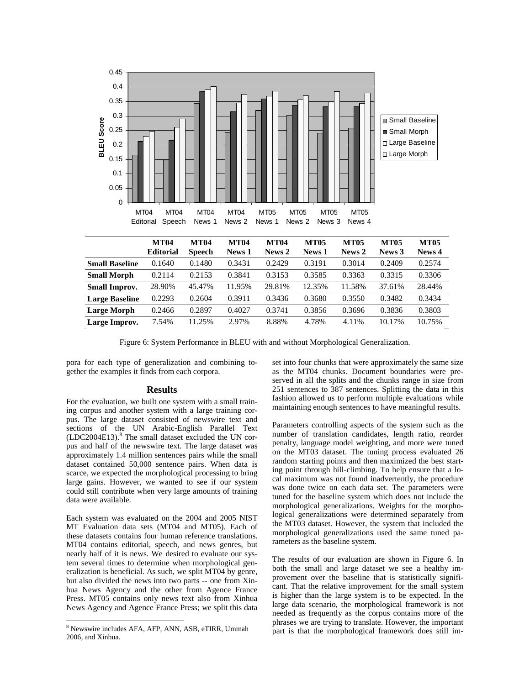

Figure 6: System Performance in BLEU with and without Morphological Generalization.

pora for each type of generalization and combining together the examples it finds from each corpora.

#### **Results**

For the evaluation, we built one system with a small training corpus and another system with a large training corpus. The large dataset consisted of newswire text and sections of the UN Arabic-English Parallel Text (LDC2004E13).<sup>8</sup> The small dataset excluded the UN corpus and half of the newswire text. The large dataset was approximately 1.4 million sentences pairs while the small dataset contained 50,000 sentence pairs. When data is scarce, we expected the morphological processing to bring large gains. However, we wanted to see if our system could still contribute when very large amounts of training data were available.

Each system was evaluated on the 2004 and 2005 NIST MT Evaluation data sets (MT04 and MT05). Each of these datasets contains four human reference translations. MT04 contains editorial, speech, and news genres, but nearly half of it is news. We desired to evaluate our system several times to determine when morphological generalization is beneficial. As such, we split MT04 by genre, but also divided the news into two parts -- one from Xinhua News Agency and the other from Agence France Press. MT05 contains only news text also from Xinhua News Agency and Agence France Press; we split this data

 $\overline{a}$ 

set into four chunks that were approximately the same size as the MT04 chunks. Document boundaries were preserved in all the splits and the chunks range in size from 251 sentences to 387 sentences. Splitting the data in this fashion allowed us to perform multiple evaluations while maintaining enough sentences to have meaningful results.

Parameters controlling aspects of the system such as the number of translation candidates, length ratio, reorder penalty, language model weighting, and more were tuned on the MT03 dataset. The tuning process evaluated 26 random starting points and then maximized the best starting point through hill-climbing. To help ensure that a local maximum was not found inadvertently, the procedure was done twice on each data set. The parameters were tuned for the baseline system which does not include the morphological generalizations. Weights for the morphological generalizations were determined separately from the MT03 dataset. However, the system that included the morphological generalizations used the same tuned parameters as the baseline system.

The results of our evaluation are shown in Figure 6. In both the small and large dataset we see a healthy improvement over the baseline that is statistically significant. That the relative improvement for the small system is higher than the large system is to be expected. In the large data scenario, the morphological framework is not needed as frequently as the corpus contains more of the phrases we are trying to translate. However, the important part is that the morphological framework does still im-

<sup>8</sup> Newswire includes AFA, AFP, ANN, ASB, eTIRR, Ummah 2006, and Xinhua.